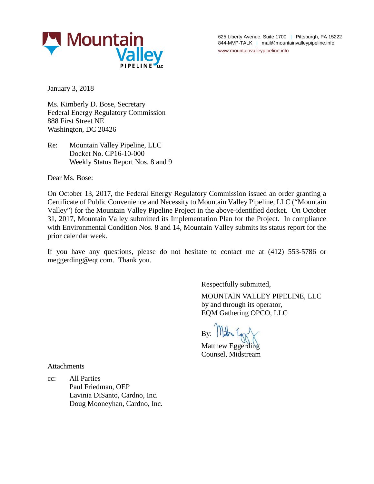

625 Liberty Avenue, Suite 1700 | Pittsburgh, PA 15222 844-MVP-TALK | mail@mountainvalleypipeline.info www.mountainvalleypipeline.info

January 3, 2018

Ms. Kimberly D. Bose, Secretary Federal Energy Regulatory Commission 888 First Street NE Washington, DC 20426

Re: Mountain Valley Pipeline, LLC Docket No. CP16-10-000 Weekly Status Report Nos. 8 and 9

Dear Ms. Bose:

On October 13, 2017, the Federal Energy Regulatory Commission issued an order granting a Certificate of Public Convenience and Necessity to Mountain Valley Pipeline, LLC ("Mountain Valley") for the Mountain Valley Pipeline Project in the above-identified docket. On October 31, 2017, Mountain Valley submitted its Implementation Plan for the Project. In compliance with Environmental Condition Nos. 8 and 14, Mountain Valley submits its status report for the prior calendar week.

If you have any questions, please do not hesitate to contact me at (412) 553-5786 or meggerding@eqt.com. Thank you.

Respectfully submitted,

MOUNTAIN VALLEY PIPELINE, LLC by and through its operator, EQM Gathering OPCO, LLC

By: At Egg

Matthew Eggerding Counsel, Midstream

Attachments

cc: All Parties Paul Friedman, OEP Lavinia DiSanto, Cardno, Inc. Doug Mooneyhan, Cardno, Inc.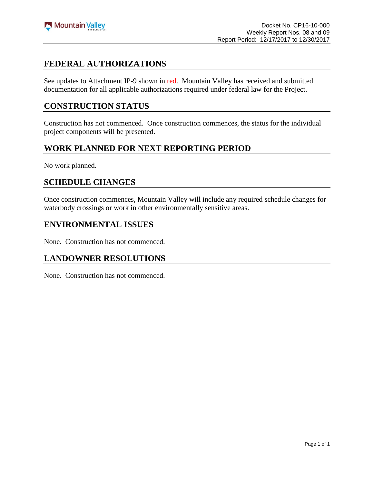# **FEDERAL AUTHORIZATIONS**

See updates to Attachment IP-9 shown in red. Mountain Valley has received and submitted documentation for all applicable authorizations required under federal law for the Project.

## **CONSTRUCTION STATUS**

Construction has not commenced. Once construction commences, the status for the individual project components will be presented.

# **WORK PLANNED FOR NEXT REPORTING PERIOD**

No work planned.

#### **SCHEDULE CHANGES**

Once construction commences, Mountain Valley will include any required schedule changes for waterbody crossings or work in other environmentally sensitive areas.

#### **ENVIRONMENTAL ISSUES**

None. Construction has not commenced.

# **LANDOWNER RESOLUTIONS**

None. Construction has not commenced.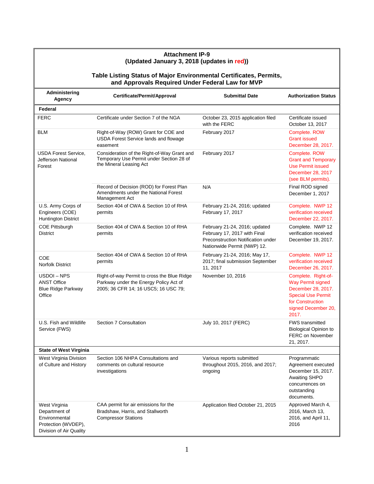|                                                                                                                        | <b>Attachment IP-9</b><br>(Updated January 3, 2018 (updates in red))                                                          |                                                                                                                                    |                                                                                                                                                        |  |  |  |
|------------------------------------------------------------------------------------------------------------------------|-------------------------------------------------------------------------------------------------------------------------------|------------------------------------------------------------------------------------------------------------------------------------|--------------------------------------------------------------------------------------------------------------------------------------------------------|--|--|--|
| Table Listing Status of Major Environmental Certificates, Permits,<br>and Approvals Required Under Federal Law for MVP |                                                                                                                               |                                                                                                                                    |                                                                                                                                                        |  |  |  |
| Administering<br>Agency                                                                                                | Certificate/Permit/Approval                                                                                                   | <b>Submittal Date</b>                                                                                                              | <b>Authorization Status</b>                                                                                                                            |  |  |  |
| Federal                                                                                                                |                                                                                                                               |                                                                                                                                    |                                                                                                                                                        |  |  |  |
| <b>FERC</b>                                                                                                            | Certificate under Section 7 of the NGA                                                                                        | October 23, 2015 application filed<br>with the FERC                                                                                | Certificate issued<br>October 13, 2017                                                                                                                 |  |  |  |
| <b>BLM</b>                                                                                                             | Right-of-Way (ROW) Grant for COE and<br>USDA Forest Service lands and flowage<br>easement                                     | February 2017                                                                                                                      | Complete. ROW<br><b>Grant issued</b><br>December 28, 2017.                                                                                             |  |  |  |
| <b>USDA Forest Service,</b><br>Jefferson National<br>Forest                                                            | Consideration of the Right-of-Way Grant and<br>Temporary Use Permit under Section 28 of<br>the Mineral Leasing Act            | February 2017                                                                                                                      | Complete. ROW<br><b>Grant and Temporary</b><br><b>Use Permit issued</b><br>December 28, 2017<br>(see BLM permits).                                     |  |  |  |
|                                                                                                                        | Record of Decision (ROD) for Forest Plan<br>Amendments under the National Forest<br>Management Act                            | N/A                                                                                                                                | Final ROD signed<br>December 1, 2017                                                                                                                   |  |  |  |
| U.S. Army Corps of<br>Engineers (COE)<br><b>Huntington District</b>                                                    | Section 404 of CWA & Section 10 of RHA<br>permits                                                                             | February 21-24, 2016; updated<br>February 17, 2017                                                                                 | Complete. NWP 12<br>verification received<br>December 22, 2017.                                                                                        |  |  |  |
| <b>COE Pittsburgh</b><br><b>District</b>                                                                               | Section 404 of CWA & Section 10 of RHA<br>permits                                                                             | February 21-24, 2016; updated<br>February 17, 2017 with Final<br>Preconstruction Notification under<br>Nationwide Permit (NWP) 12. | Complete. NWP 12<br>verification received<br>December 19, 2017.                                                                                        |  |  |  |
| COE<br><b>Norfolk District</b>                                                                                         | Section 404 of CWA & Section 10 of RHA<br>permits                                                                             | February 21-24, 2016; May 17,<br>2017; final submission September<br>11, 2017                                                      | Complete. NWP 12<br>verification received<br>December 26, 2017.                                                                                        |  |  |  |
| USDOI-NPS<br><b>ANST Office</b><br><b>Blue Ridge Parkway</b><br>Office                                                 | Right-of-way Permit to cross the Blue Ridge<br>Parkway under the Energy Policy Act of<br>2005; 36 CFR 14; 16 USC5; 16 USC 79; | November 10, 2016                                                                                                                  | Complete. Right-of-<br><b>Way Permit signed</b><br>December 28, 2017.<br><b>Special Use Permit</b><br>for Construction<br>signed December 20,<br>2017. |  |  |  |
| U.S. Fish and Wildlife<br>Service (FWS)                                                                                | Section 7 Consultation                                                                                                        | July 10, 2017 (FERC)                                                                                                               | FWS transmitted<br><b>Biological Opinion to</b><br><b>FERC on November</b><br>21, 2017.                                                                |  |  |  |
| <b>State of West Virginia</b>                                                                                          |                                                                                                                               |                                                                                                                                    |                                                                                                                                                        |  |  |  |
| West Virginia Division<br>of Culture and History                                                                       | Section 106 NHPA Consultations and<br>comments on cultural resource<br>investigations                                         | Various reports submitted<br>throughout 2015, 2016, and 2017;<br>ongoing                                                           | Programmatic<br>Agreement executed<br>December 15, 2017.<br><b>Awaiting SHPO</b><br>concurrences on<br>outstanding<br>documents.                       |  |  |  |
| West Virginia<br>Department of<br>Environmental<br>Protection (WVDEP),<br>Division of Air Quality                      | CAA permit for air emissions for the<br>Bradshaw, Harris, and Stallworth<br><b>Compressor Stations</b>                        | Application filed October 21, 2015                                                                                                 | Approved March 4,<br>2016, March 13,<br>2016, and April 11,<br>2016                                                                                    |  |  |  |